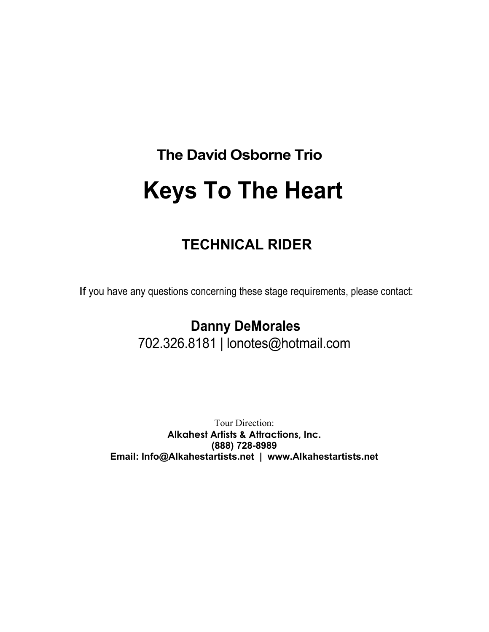# **The David Osborne Trio Keys To The Heart**

# **TECHNICAL RIDER**

If you have any questions concerning these stage requirements, please contact:

 **Danny DeMorales** 702.326.8181 | lonotes@hotmail.com

Tour Direction: **Alkahest Artists & Attractions, Inc. (888) 728-8989 Email: Info@Alkahestartists.net | www.Alkahestartists.net**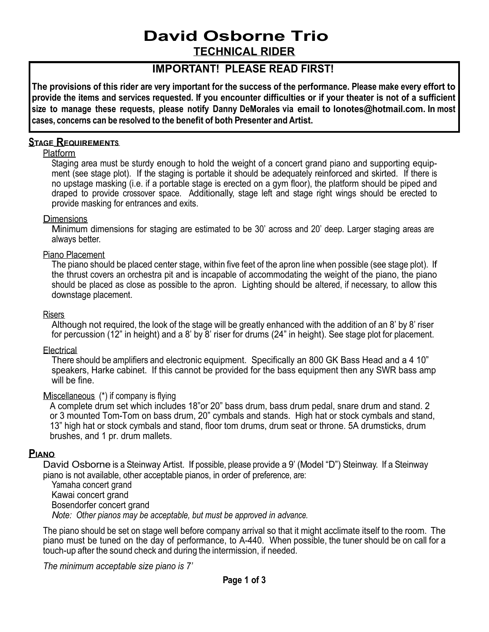# **David Osborne Trio**

**TECHNICAL RIDER**

# **IMPORTANT! PLEASE READ FIRST!**

The provisions of this rider are very important for the success of the performance. Please make every effort to provide the items and services requested. If you encounter difficulties or if your theater is not of a sufficient **size to manage these requests, please notify Danny DeMorales via email to lonotes@hotmail.com. In most cases, concerns can be resolved to the benefit of both Presenter and Artist.**

# **STAGE REQUIREMENTS**

# Platform

Staging area must be sturdy enough to hold the weight of a concert grand piano and supporting equipment (see stage plot). If the staging is portable it should be adequately reinforced and skirted. If there is no upstage masking (i.e. if a portable stage is erected on a gym floor), the platform should be piped and draped to provide crossover space. Additionally, stage left and stage right wings should be erected to provide masking for entrances and exits.

## **Dimensions**

Minimum dimensions for staging are estimated to be 30' across and 20' deep. Larger staging areas are always better.

## Piano Placement

The piano should be placed center stage, within five feet of the apron line when possible (see stage plot). If the thrust covers an orchestra pit and is incapable of accommodating the weight of the piano, the piano should be placed as close as possible to the apron. Lighting should be altered, if necessary, to allow this downstage placement.

### Risers

Although not required, the look of the stage will be greatly enhanced with the addition of an 8' by 8' riser for percussion (12" in height) and a 8' by 8' riser for drums (24" in height). See stage plot for placement.

### **Electrical**

There should be amplifiers and electronic equipment. Specifically an 800 GK Bass Head and a 4 10" speakers, Harke cabinet. If this cannot be provided for the bass equipment then any SWR bass amp will be fine.

### Miscellaneous (\*) if company is flying

A complete drum set which includes 18"or 20" bass drum, bass drum pedal, snare drum and stand. 2 or 3 mounted Tom-Tom on bass drum, 20" cymbals and stands. High hat or stock cymbals and stand, 13" high hat or stock cymbals and stand, floor tom drums, drum seat or throne. 5A drumsticks, drum brushes, and 1 pr. drum mallets.

# **PIANO**

David Osborne is a Steinway Artist. If possible, please provide a 9' (Model "D") Steinway. If a Steinway piano is not available, other acceptable pianos, in order of preference, are:

Yamaha concert grand Kawai concert grand Bosendorfer concert grand *Note: Other pianos may be acceptable, but must be approved in advance.*

The piano should be set on stage well before company arrival so that it might acclimate itself to the room. The piano must be tuned on the day of performance, to A-440. When possible, the tuner should be on call for a touch-up after the sound check and during the intermission, if needed.

*The minimum acceptable size piano is 7'*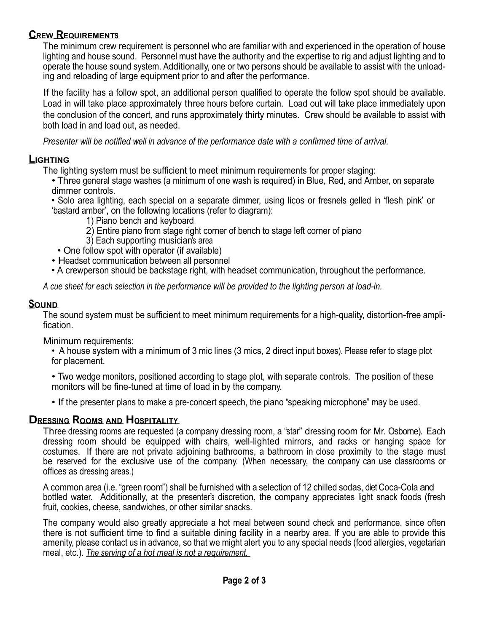# **CREW REQUIREMENTS**

The minimum crew requirement is personnel who are familiar with and experienced in the operation of house lighting and house sound. Personnel must have the authority and the expertise to rig and adjust lighting and to operate the house sound system. Additionally, one or two persons should be available to assist with the unloading and reloading of large equipment prior to and after the performance.

If the facility has a follow spot, an additional person qualified to operate the follow spot should be available. Load in will take place approximately three hours before curtain. Load out will take place immediately upon the conclusion of the concert, and runs approximately thirty minutes. Crew should be available to assist with both load in and load out, as needed.

*Presenter will be notified well in advance of the performance date with a confirmed time of arrival.*

# **LIGHTING**

The lighting system must be sufficient to meet minimum requirements for proper staging:

• Three general stage washes (a minimum of one wash is required) in Blue, Red, and Amber, on separate dimmer controls.

• Solo area lighting, each special on a separate dimmer, using licos or fresnels gelled in 'flesh pink' or 'bastard amber', on the following locations (refer to diagram):

- 1) Piano bench and keyboard
- 2) Entire piano from stage right corner of bench to stage left corner of piano
- 3) Each supporting musician's area
- One follow spot with operator (if available)
- Headset communication between all personnel
- A crewperson should be backstage right, with headset communication, throughout the performance.

*A cue sheet for each selection in the performance will be provided to the lighting person at load-in.*

# **SOUND**

The sound system must be sufficient to meet minimum requirements for a high-quality, distortion-free amplification.

Minimum requirements:

• A house system with a minimum of 3 mic lines (3 mics, 2 direct input boxes). Please refer to stage plot for placement.

• Two wedge monitors, positioned according to stage plot, with separate controls. The position of these monitors will be fine-tuned at time of load in by the company.

• If the presenter plans to make a pre-concert speech, the piano "speaking microphone" may be used.

# **DRESSING ROOMS AND HOSPITALITY**

Three dressing rooms are requested (a company dressing room, a "star" dressing room for Mr. Osborne). Each dressing room should be equipped with chairs, well-lighted mirrors, and racks or hanging space for costumes. If there are not private adjoining bathrooms, a bathroom in close proximity to the stage must be reserved for the exclusive use of the company. (When necessary, the company can use classrooms or offices as dressing areas.)

A common area (i.e. "green room") shall be furnished with a selection of 12 chilled sodas, diet Coca-Cola and bottled water. Additionally, at the presenter's discretion, the company appreciates light snack foods (fresh fruit, cookies, cheese, sandwiches, or other similar snacks.

The company would also greatly appreciate a hot meal between sound check and performance, since often there is not sufficient time to find a suitable dining facility in a nearby area. If you are able to provide this amenity, please contact us in advance, so that we might alert you to any special needs (food allergies, vegetarian meal, etc.). *The serving of a hot meal is not a requirement.*